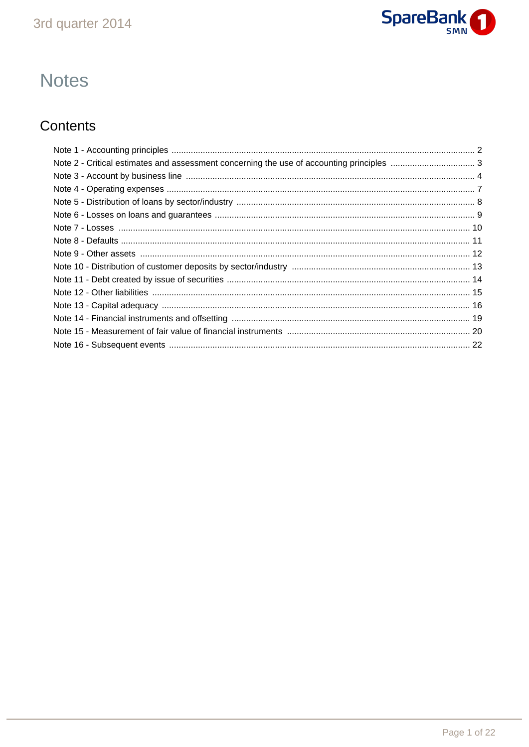

# **Notes**

# Contents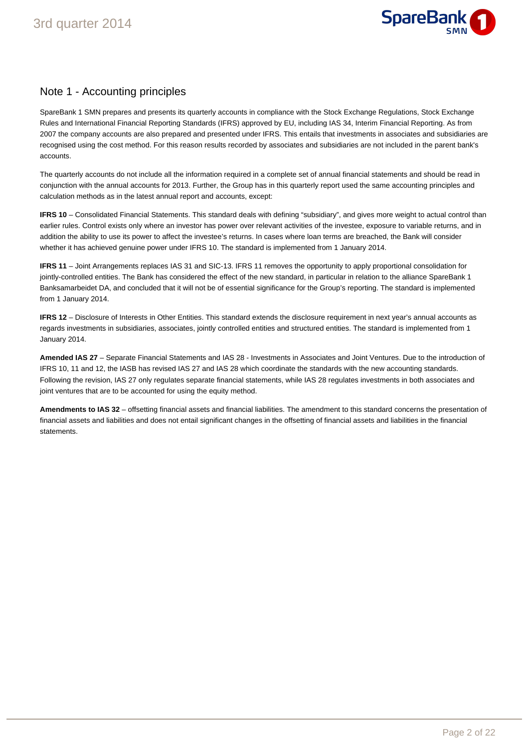

### Note 1 - Accounting principles

SpareBank 1 SMN prepares and presents its quarterly accounts in compliance with the Stock Exchange Regulations, Stock Exchange Rules and International Financial Reporting Standards (IFRS) approved by EU, including IAS 34, Interim Financial Reporting. As from 2007 the company accounts are also prepared and presented under IFRS. This entails that investments in associates and subsidiaries are recognised using the cost method. For this reason results recorded by associates and subsidiaries are not included in the parent bank's accounts.

The quarterly accounts do not include all the information required in a complete set of annual financial statements and should be read in conjunction with the annual accounts for 2013. Further, the Group has in this quarterly report used the same accounting principles and calculation methods as in the latest annual report and accounts, except:

**IFRS 10** – Consolidated Financial Statements. This standard deals with defining "subsidiary", and gives more weight to actual control than earlier rules. Control exists only where an investor has power over relevant activities of the investee, exposure to variable returns, and in addition the ability to use its power to affect the investee's returns. In cases where loan terms are breached, the Bank will consider whether it has achieved genuine power under IFRS 10. The standard is implemented from 1 January 2014.

**IFRS 11** – Joint Arrangements replaces IAS 31 and SIC-13. IFRS 11 removes the opportunity to apply proportional consolidation for jointly-controlled entities. The Bank has considered the effect of the new standard, in particular in relation to the alliance SpareBank 1 Banksamarbeidet DA, and concluded that it will not be of essential significance for the Group's reporting. The standard is implemented from 1 January 2014.

**IFRS 12** – Disclosure of Interests in Other Entities. This standard extends the disclosure requirement in next year's annual accounts as regards investments in subsidiaries, associates, jointly controlled entities and structured entities. The standard is implemented from 1 January 2014.

**Amended IAS 27** – Separate Financial Statements and IAS 28 - Investments in Associates and Joint Ventures. Due to the introduction of IFRS 10, 11 and 12, the IASB has revised IAS 27 and IAS 28 which coordinate the standards with the new accounting standards. Following the revision, IAS 27 only regulates separate financial statements, while IAS 28 regulates investments in both associates and joint ventures that are to be accounted for using the equity method.

**Amendments to IAS 32** – offsetting financial assets and financial liabilities. The amendment to this standard concerns the presentation of financial assets and liabilities and does not entail significant changes in the offsetting of financial assets and liabilities in the financial statements.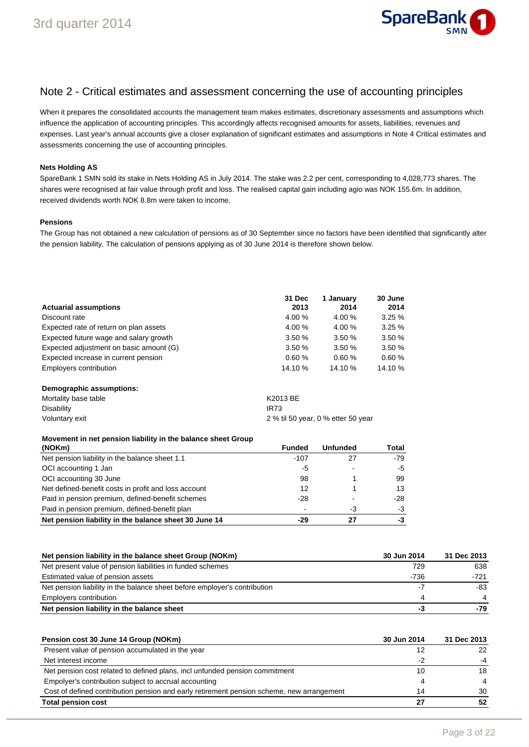

### Note 2 - Critical estimates and assessment concerning the use of accounting principles

When it prepares the consolidated accounts the management team makes estimates, discretionary assessments and assumptions which influence the application of accounting principles. This accordingly affects recognised amounts for assets, liabilities, revenues and expenses. Last year's annual accounts give a closer explanation of significant estimates and assumptions in Note 4 Critical estimates and assessments concerning the use of accounting principles.

#### **Nets Holding AS**

SpareBank 1 SMN sold its stake in Nets Holding AS in July 2014. The stake was 2.2 per cent, corresponding to 4,028,773 shares. The shares were recognised at fair value through profit and loss. The realised capital gain including agio was NOK 155.6m. In addition, received dividends worth NOK 8.8m were taken to income.

#### **Pensions**

The Group has not obtained a new calculation of pensions as of 30 September since no factors have been identified that significantly alter the pension liability. The calculation of pensions applying as of 30 June 2014 is therefore shown below.

|                                         | 31 Dec  | 1 Januarv | 30 June |
|-----------------------------------------|---------|-----------|---------|
| <b>Actuarial assumptions</b>            | 2013    | 2014      | 2014    |
| Discount rate                           | 4.00 %  | 4.00%     | 3.25%   |
| Expected rate of return on plan assets  | 4.00 %  | 4.00%     | 3.25%   |
| Expected future wage and salary growth  | 3.50%   | 3.50%     | 3.50%   |
| Expected adjustment on basic amount (G) | 3.50%   | 3.50%     | 3.50%   |
| Expected increase in current pension    | 0.60%   | 0.60%     | 0.60%   |
| Employers contribution                  | 14.10 % | 14.10 %   | 14.10 % |

#### **Demographic assumptions:**

| Mortality base table | K2013 BE                           |
|----------------------|------------------------------------|
| Disability           | IR73                               |
| Voluntary exit       | 2 % til 50 year, 0 % etter 50 year |

| Movement in net pension liability in the balance sheet Group |        |                 |       |
|--------------------------------------------------------------|--------|-----------------|-------|
| (NOKm)                                                       | Funded | <b>Unfunded</b> | Total |
| Net pension liability in the balance sheet 1.1               | $-107$ | 27              | $-79$ |
| OCI accounting 1 Jan                                         | -5     |                 | -5    |
| OCI accounting 30 June                                       | 98     |                 | 99    |
| Net defined-benefit costs in profit and loss account         | 12     |                 | 13    |
| Paid in pension premium, defined-benefit schemes             | -28    |                 | -28   |
| Paid in pension premium, defined-benefit plan                |        | -3              | $-3$  |
| Net pension liability in the balance sheet 30 June 14        | -29    | 27              | -3    |

| Net pension liability in the balance sheet Group (NOKm)                   | 30 Jun 2014 | 31 Dec 2013 |
|---------------------------------------------------------------------------|-------------|-------------|
| Net present value of pension liabilities in funded schemes                | 729         | 638         |
| Estimated value of pension assets                                         | $-736$      | $-721$      |
| Net pension liability in the balance sheet before employer's contribution |             | -83         |
| Employers contribution                                                    |             |             |
| Net pension liability in the balance sheet                                | -3          | -79         |

| Pension cost 30 June 14 Group (NOKm)                                                      | 30 Jun 2014 | 31 Dec 2013    |
|-------------------------------------------------------------------------------------------|-------------|----------------|
| Present value of pension accumulated in the year                                          | 12          | 22             |
| Net interest income                                                                       | -2          | -4             |
| Net pension cost related to defined plans, incl unfunded pension commitment               | 10          | 18             |
| Empolyer's contribution subject to accrual accounting                                     |             | $\overline{4}$ |
| Cost of defined contribution pension and early retirement pension scheme, new arrangement | 14          | 30             |
| <b>Total pension cost</b>                                                                 | 27          | 52             |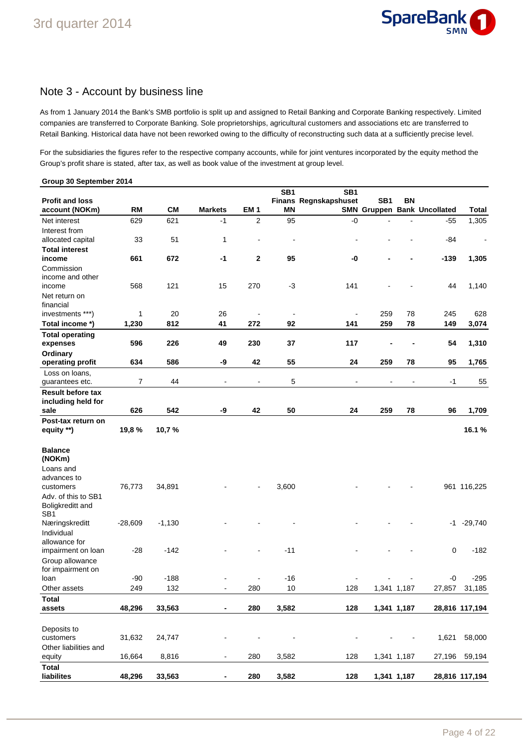

### Note 3 - Account by business line

As from 1 January 2014 the Bank's SMB portfolio is split up and assigned to Retail Banking and Corporate Banking respectively. Limited companies are transferred to Corporate Banking. Sole proprietorships, agricultural customers and associations etc are transferred to Retail Banking. Historical data have not been reworked owing to the difficulty of reconstructing such data at a sufficiently precise level.

For the subsidiaries the figures refer to the respective company accounts, while for joint ventures incorporated by the equity method the Group's profit share is stated, after tax, as well as book value of the investment at group level.

| Group 30 September 2014           |                |           |                              |                          |                 |                       |                          |                |                                    |                |
|-----------------------------------|----------------|-----------|------------------------------|--------------------------|-----------------|-----------------------|--------------------------|----------------|------------------------------------|----------------|
|                                   |                |           |                              |                          | SB <sub>1</sub> | SB <sub>1</sub>       |                          |                |                                    |                |
| <b>Profit and loss</b>            |                |           |                              |                          |                 | Finans Regnskapshuset | SB <sub>1</sub>          | <b>BN</b>      |                                    |                |
| account (NOKm)                    | <b>RM</b>      | <b>CM</b> | <b>Markets</b>               | <b>EM1</b>               | ΜN              |                       |                          |                | <b>SMN Gruppen Bank Uncollated</b> | Total          |
| Net interest                      | 629            | 621       | $-1$                         | 2                        | 95              | $-0$                  |                          |                | $-55$                              | 1,305          |
| Interest from                     |                |           |                              |                          |                 |                       |                          |                |                                    |                |
| allocated capital                 | 33             | 51        | 1                            | $\overline{\phantom{a}}$ | $\blacksquare$  |                       |                          |                | -84                                |                |
| <b>Total interest</b>             |                |           |                              |                          |                 |                       |                          |                |                                    |                |
| income                            | 661            | 672       | $-1$                         | 2                        | 95              | -0                    |                          |                | $-139$                             | 1,305          |
| Commission                        |                |           |                              |                          |                 |                       |                          |                |                                    |                |
| income and other                  |                |           |                              |                          |                 |                       |                          |                |                                    |                |
| income                            | 568            | 121       | 15                           | 270                      | $-3$            | 141                   |                          |                | 44                                 | 1,140          |
| Net return on                     |                |           |                              |                          |                 |                       |                          |                |                                    |                |
| financial                         |                |           |                              |                          |                 |                       |                          |                |                                    |                |
| investments ***)                  | $\mathbf{1}$   | 20        | 26                           |                          |                 |                       | 259                      | 78             | 245                                | 628            |
| Total income *)                   | 1,230          | 812       | 41                           | 272                      | 92              | 141                   | 259                      | 78             | 149                                | 3,074          |
| <b>Total operating</b>            |                |           |                              |                          |                 |                       |                          |                |                                    |                |
| expenses                          | 596            | 226       | 49                           | 230                      | 37              | 117                   |                          |                | 54                                 | 1,310          |
| Ordinary                          |                |           |                              |                          |                 |                       |                          |                |                                    |                |
| operating profit                  | 634            | 586       | -9                           | 42                       | 55              | 24                    | 259                      | 78             | 95                                 | 1,765          |
| Loss on loans,<br>guarantees etc. | $\overline{7}$ | 44        | $\overline{a}$               | $\blacksquare$           | 5               |                       |                          |                | $-1$                               | 55             |
| <b>Result before tax</b>          |                |           |                              |                          |                 |                       |                          |                |                                    |                |
| including held for                |                |           |                              |                          |                 |                       |                          |                |                                    |                |
| sale                              | 626            | 542       | -9                           | 42                       | 50              | 24                    | 259                      | 78             | 96                                 | 1,709          |
| Post-tax return on                |                |           |                              |                          |                 |                       |                          |                |                                    |                |
| equity **)                        | 19,8%          | 10,7%     |                              |                          |                 |                       |                          |                |                                    | 16.1%          |
|                                   |                |           |                              |                          |                 |                       |                          |                |                                    |                |
| <b>Balance</b>                    |                |           |                              |                          |                 |                       |                          |                |                                    |                |
| (NOKm)                            |                |           |                              |                          |                 |                       |                          |                |                                    |                |
| Loans and                         |                |           |                              |                          |                 |                       |                          |                |                                    |                |
| advances to                       |                |           |                              |                          |                 |                       |                          |                |                                    |                |
| customers                         | 76,773         | 34,891    |                              |                          | 3,600           |                       |                          |                |                                    | 961 116,225    |
| Adv. of this to SB1               |                |           |                              |                          |                 |                       |                          |                |                                    |                |
| Boligkreditt and                  |                |           |                              |                          |                 |                       |                          |                |                                    |                |
| SB <sub>1</sub>                   |                |           |                              |                          |                 |                       |                          |                |                                    |                |
| Næringskreditt                    | $-28,609$      | $-1,130$  |                              |                          |                 |                       |                          |                | -1                                 | $-29,740$      |
| Individual                        |                |           |                              |                          |                 |                       |                          |                |                                    |                |
| allowance for                     |                |           |                              |                          |                 |                       |                          |                |                                    |                |
| impairment on loan                | $-28$          | $-142$    |                              |                          | $-11$           |                       |                          |                | $\mathbf 0$                        | $-182$         |
| Group allowance                   |                |           |                              |                          |                 |                       |                          |                |                                    |                |
| for impairment on                 |                |           |                              |                          |                 |                       |                          |                |                                    |                |
| loan                              | $-90$          | $-188$    | $\overline{\phantom{a}}$     | $\blacksquare$           | $-16$           | $\blacksquare$        | $\overline{\phantom{a}}$ | $\blacksquare$ | $-0$                               | $-295$         |
| Other assets                      | 249            | 132       | ÷                            | 280                      | 10              | 128                   |                          | 1,341 1,187    | 27,857                             | 31,185         |
| <b>Total</b>                      |                |           |                              |                          |                 |                       |                          |                |                                    |                |
| assets                            | 48,296         | 33,563    | ۰                            | 280                      | 3,582           | 128                   |                          | 1,341 1,187    |                                    | 28,816 117,194 |
|                                   |                |           |                              |                          |                 |                       |                          |                |                                    |                |
| Deposits to                       |                |           |                              |                          |                 |                       |                          |                |                                    |                |
| customers                         | 31,632         | 24,747    |                              |                          |                 |                       |                          |                | 1,621                              | 58,000         |
| Other liabilities and             |                |           |                              |                          |                 |                       |                          |                |                                    |                |
| equity                            | 16,664         | 8,816     | $\qquad \qquad \blacksquare$ | 280                      | 3,582           | 128                   |                          | 1,341 1,187    | 27,196                             | 59,194         |
| <b>Total</b>                      |                |           |                              |                          |                 |                       |                          |                |                                    |                |
| liabilites                        | 48,296         | 33,563    | $\blacksquare$               | 280                      | 3,582           | 128                   |                          | 1,341 1,187    |                                    | 28,816 117,194 |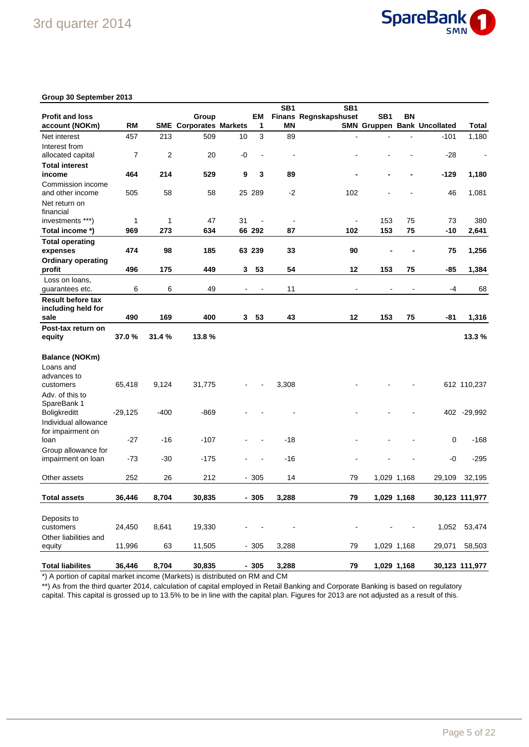

#### **Group 30 September 2013**

|                                       |                |                |                               |                          |                          | SB <sub>1</sub> | SB1                          |                 |                |                                    |                |
|---------------------------------------|----------------|----------------|-------------------------------|--------------------------|--------------------------|-----------------|------------------------------|-----------------|----------------|------------------------------------|----------------|
| <b>Profit and loss</b>                |                |                | Group                         |                          | EМ                       |                 | <b>Finans Regnskapshuset</b> | SB <sub>1</sub> | BN             |                                    |                |
| account (NOKm)                        | RM             |                | <b>SME Corporates Markets</b> |                          | 1                        | ΜN              |                              |                 |                | <b>SMN Gruppen Bank Uncollated</b> | Total          |
| Net interest                          | 457            | 213            | 509                           | 10                       | 3                        | 89              |                              |                 |                | $-101$                             | 1,180          |
| Interest from                         |                |                |                               |                          |                          |                 |                              |                 |                |                                    |                |
| allocated capital                     | $\overline{7}$ | $\overline{2}$ | 20                            | -0                       |                          |                 |                              |                 |                | $-28$                              | $\blacksquare$ |
| <b>Total interest</b>                 |                |                |                               |                          |                          |                 |                              |                 |                |                                    |                |
| income                                | 464            | 214            | 529                           | 9                        | 3                        | 89              |                              |                 |                | $-129$                             | 1,180          |
| Commission income<br>and other income | 505            | 58             | 58                            |                          | 25 289                   | $-2$            | 102                          |                 |                | 46                                 | 1,081          |
| Net return on<br>financial            |                |                |                               |                          |                          |                 |                              |                 |                |                                    |                |
| investments ***)                      | 1              | 1              | 47                            | 31                       | $\blacksquare$           | ÷,              | ÷,                           | 153             | 75             | 73                                 | 380            |
| Total income *)                       | 969            | 273            | 634                           |                          | 66 292                   | 87              | 102                          | 153             | 75             | -10                                | 2,641          |
| <b>Total operating</b>                |                |                |                               |                          |                          |                 |                              |                 |                |                                    |                |
| expenses                              | 474            | 98             | 185                           |                          | 63 239                   | 33              | 90                           | $\blacksquare$  | ×,             | 75                                 | 1,256          |
| <b>Ordinary operating</b>             |                |                |                               |                          |                          |                 |                              |                 |                |                                    |                |
| profit                                | 496            | 175            | 449                           | 3                        | 53                       | 54              | 12                           | 153             | 75             | -85                                | 1,384          |
| Loss on loans,                        |                |                |                               |                          |                          |                 |                              |                 |                |                                    |                |
| guarantees etc.                       | 6              | 6              | 49                            | $\overline{\phantom{a}}$ | $\overline{\phantom{a}}$ | 11              | $\blacksquare$               | $\blacksquare$  | $\blacksquare$ | -4                                 | 68             |
| <b>Result before tax</b>              |                |                |                               |                          |                          |                 |                              |                 |                |                                    |                |
| including held for                    |                |                |                               |                          |                          |                 |                              |                 |                |                                    |                |
| sale                                  | 490            | 169            | 400                           | 3                        | 53                       | 43              | 12                           | 153             | 75             | -81                                | 1,316          |
| Post-tax return on                    |                |                |                               |                          |                          |                 |                              |                 |                |                                    |                |
| equity                                | 37.0 %         | 31.4 %         | 13.8%                         |                          |                          |                 |                              |                 |                |                                    | 13.3 %         |
|                                       |                |                |                               |                          |                          |                 |                              |                 |                |                                    |                |
| Balance (NOKm)                        |                |                |                               |                          |                          |                 |                              |                 |                |                                    |                |
| Loans and                             |                |                |                               |                          |                          |                 |                              |                 |                |                                    |                |
| advances to                           |                |                |                               |                          |                          |                 |                              |                 |                |                                    |                |
| customers                             | 65,418         | 9,124          | 31,775                        |                          |                          | 3,308           |                              |                 |                |                                    | 612 110,237    |
| Adv. of this to                       |                |                |                               |                          |                          |                 |                              |                 |                |                                    |                |
| SpareBank 1                           |                |                |                               |                          |                          |                 |                              |                 |                |                                    |                |
| <b>Boligkreditt</b>                   | $-29,125$      | $-400$         | $-869$                        |                          |                          |                 |                              |                 |                | 402                                | $-29,992$      |
| Individual allowance                  |                |                |                               |                          |                          |                 |                              |                 |                |                                    |                |
| for impairment on                     |                |                |                               |                          |                          |                 |                              |                 |                |                                    |                |
| loan                                  | $-27$          | -16            | $-107$                        |                          |                          | $-18$           |                              |                 |                | 0                                  | $-168$         |
| Group allowance for                   |                |                |                               |                          |                          |                 |                              |                 |                |                                    |                |
| impairment on loan                    | $-73$          | $-30$          | $-175$                        |                          |                          | $-16$           |                              |                 |                | -0                                 | $-295$         |
|                                       |                |                |                               |                          |                          |                 |                              |                 |                |                                    |                |
| Other assets                          | 252            | 26             | 212                           |                          | $-305$                   | 14              | 79                           |                 | 1,029 1,168    | 29,109                             | 32,195         |
| <b>Total assets</b>                   | 36,446         | 8,704          | 30,835                        |                          | $-305$                   | 3,288           | 79                           |                 | 1,029 1,168    |                                    | 30,123 111,977 |
|                                       |                |                |                               |                          |                          |                 |                              |                 |                |                                    |                |
| Deposits to                           |                |                |                               |                          |                          |                 |                              |                 |                |                                    |                |
| customers                             | 24,450         | 8,641          | 19,330                        |                          |                          |                 |                              |                 |                | 1,052                              | 53,474         |
| Other liabilities and                 |                |                |                               |                          |                          |                 |                              |                 |                |                                    |                |
| equity                                | 11,996         | 63             | 11,505                        |                          | $-305$                   | 3,288           | 79                           |                 | 1,029 1,168    | 29,071                             | 58,503         |
|                                       |                |                |                               |                          |                          |                 |                              |                 |                |                                    |                |
| <b>Total liabilites</b>               | 36,446         | 8,704          | 30,835                        |                          | $-305$                   | 3,288           | 79                           |                 | 1,029 1,168    |                                    | 30,123 111,977 |

\*) A portion of capital market income (Markets) is distributed on RM and CM

\*\*) As from the third quarter 2014, calculation of capital employed in Retail Banking and Corporate Banking is based on regulatory capital. This capital is grossed up to 13.5% to be in line with the capital plan. Figures for 2013 are not adjusted as a result of this.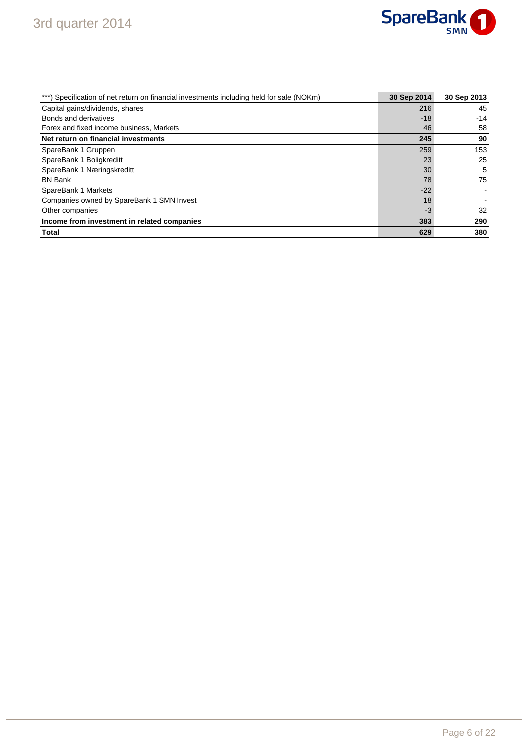

| ***) Specification of net return on financial investments including held for sale (NOKm) | 30 Sep 2014 | 30 Sep 2013 |
|------------------------------------------------------------------------------------------|-------------|-------------|
| Capital gains/dividends, shares                                                          | 216         | 45          |
| Bonds and derivatives                                                                    | $-18$       | $-14$       |
| Forex and fixed income business, Markets                                                 | 46          | 58          |
| Net return on financial investments                                                      | 245         | 90          |
| SpareBank 1 Gruppen                                                                      | 259         | 153         |
| SpareBank 1 Boligkreditt                                                                 | 23          | 25          |
| SpareBank 1 Næringskreditt                                                               | 30          | 5           |
| <b>BN Bank</b>                                                                           | 78          | 75          |
| SpareBank 1 Markets                                                                      | $-22$       |             |
| Companies owned by SpareBank 1 SMN Invest                                                | 18          |             |
| Other companies                                                                          | -3          | 32          |
| Income from investment in related companies                                              | 383         | 290         |
| <b>Total</b>                                                                             | 629         | 380         |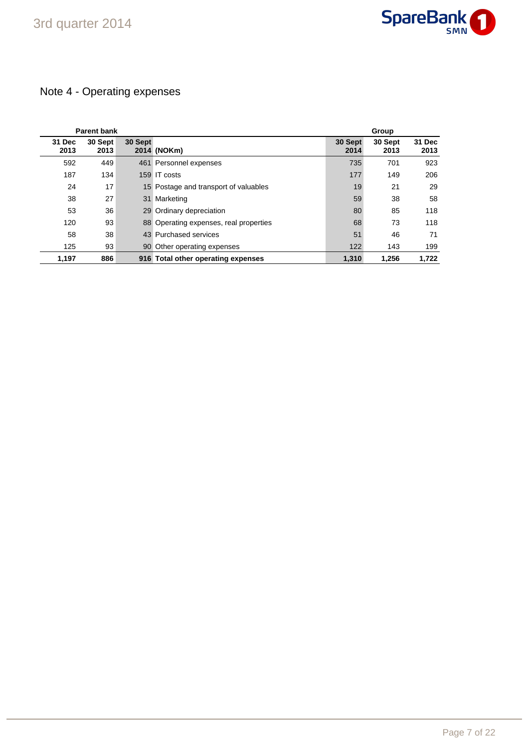

# Note 4 - Operating expenses

|                | <b>Parent bank</b> |         |                                        |                 | Group           |                |
|----------------|--------------------|---------|----------------------------------------|-----------------|-----------------|----------------|
| 31 Dec<br>2013 | 30 Sept<br>2013    | 30 Sept | 2014 (NOKm)                            | 30 Sept<br>2014 | 30 Sept<br>2013 | 31 Dec<br>2013 |
| 592            | 449                |         | 461 Personnel expenses                 | 735             | 701             | 923            |
| 187            | 134                |         | 159 IT costs                           | 177             | 149             | 206            |
| 24             | 17                 |         | 15 Postage and transport of valuables  | 19              | 21              | 29             |
| 38             | 27                 |         | 31 Marketing                           | 59              | 38              | 58             |
| 53             | 36                 |         | 29 Ordinary depreciation               | 80              | 85              | 118            |
| 120            | 93                 |         | 88 Operating expenses, real properties | 68              | 73              | 118            |
| 58             | 38                 |         | 43 Purchased services                  | 51              | 46              | 71             |
| 125            | 93                 |         | 90 Other operating expenses            | 122             | 143             | 199            |
| 1,197          | 886                |         | 916 Total other operating expenses     | 1,310           | 1,256           | 1,722          |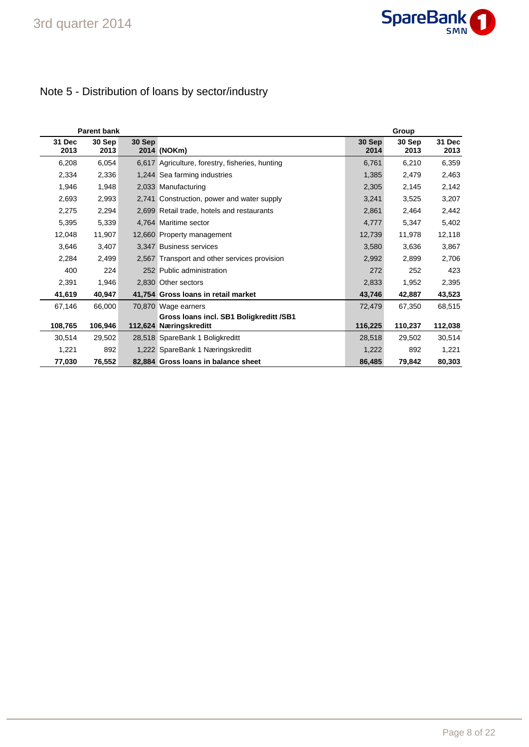

# Note 5 - Distribution of loans by sector/industry

| Parent bank    |                |        |                                                                   | Group          |                |                |  |
|----------------|----------------|--------|-------------------------------------------------------------------|----------------|----------------|----------------|--|
| 31 Dec<br>2013 | 30 Sep<br>2013 | 30 Sep | 2014 (NOKm)                                                       | 30 Sep<br>2014 | 30 Sep<br>2013 | 31 Dec<br>2013 |  |
| 6,208          | 6,054          |        | 6,617 Agriculture, forestry, fisheries, hunting                   | 6,761          | 6,210          | 6,359          |  |
| 2,334          | 2,336          |        | 1,244 Sea farming industries                                      | 1,385          | 2,479          | 2,463          |  |
| 1,946          | 1,948          |        | 2,033 Manufacturing                                               | 2,305          | 2,145          | 2,142          |  |
| 2,693          | 2,993          |        | 2,741 Construction, power and water supply                        | 3,241          | 3,525          | 3,207          |  |
| 2,275          | 2,294          |        | 2,699 Retail trade, hotels and restaurants                        | 2,861          | 2,464          | 2,442          |  |
| 5,395          | 5,339          |        | 4,764 Maritime sector                                             | 4,777          | 5,347          | 5,402          |  |
| 12,048         | 11,907         |        | 12,660 Property management                                        | 12,739         | 11,978         | 12,118         |  |
| 3,646          | 3,407          |        | 3.347 Business services                                           | 3,580          | 3,636          | 3,867          |  |
| 2,284          | 2,499          |        | 2,567 Transport and other services provision                      | 2,992          | 2,899          | 2,706          |  |
| 400            | 224            |        | 252 Public administration                                         | 272            | 252            | 423            |  |
| 2,391          | 1,946          |        | 2,830 Other sectors                                               | 2,833          | 1,952          | 2,395          |  |
| 41,619         | 40,947         |        | 41,754 Gross Ioans in retail market                               | 43,746         | 42,887         | 43,523         |  |
| 67,146         | 66,000         |        | 70,870 Wage earners                                               | 72,479         | 67,350         | 68,515         |  |
| 108,765        | 106,946        |        | Gross Ioans incl. SB1 Boligkreditt /SB1<br>112,624 Næringskreditt | 116,225        | 110,237        | 112,038        |  |
| 30,514         | 29,502         |        | 28,518 SpareBank 1 Boligkreditt                                   | 28,518         | 29,502         | 30,514         |  |
| 1,221          | 892            |        | 1,222 SpareBank 1 Næringskreditt                                  | 1,222          | 892            | 1,221          |  |
| 77,030         | 76,552         |        | 82,884 Gross Ioans in balance sheet                               | 86,485         | 79,842         | 80,303         |  |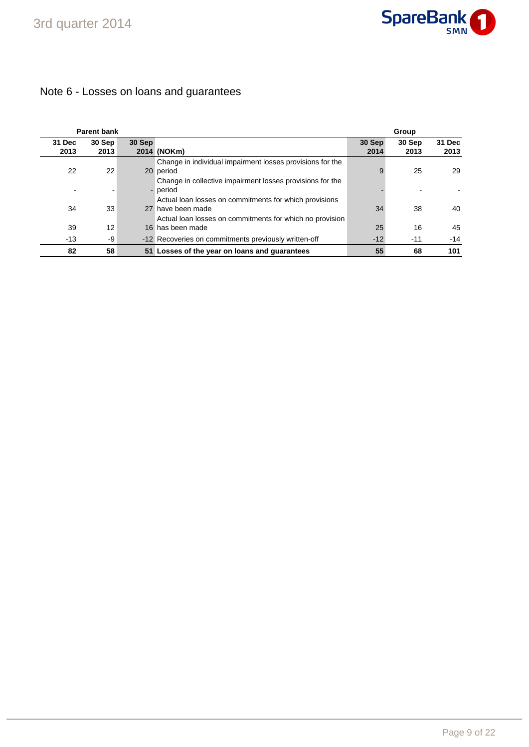

### Note 6 - Losses on loans and guarantees

|                | <b>Parent bank</b> |        |                                                                              |                | Group          |                |
|----------------|--------------------|--------|------------------------------------------------------------------------------|----------------|----------------|----------------|
| 31 Dec<br>2013 | 30 Sep<br>2013     | 30 Sep | 2014 (NOKm)                                                                  | 30 Sep<br>2014 | 30 Sep<br>2013 | 31 Dec<br>2013 |
| 22             | 22                 |        | Change in individual impairment losses provisions for the<br>20 period       | 9              | 25             | 29             |
|                |                    |        | Change in collective impairment losses provisions for the<br>- period        |                |                |                |
| 34             | 33                 |        | Actual loan losses on commitments for which provisions<br>27 have been made  | 34             | 38             | 40             |
| 39             | 12                 |        | Actual loan losses on commitments for which no provision<br>16 has been made | 25             | 16             | 45             |
| $-13$          | -9                 |        | -12 Recoveries on commitments previously written-off                         | $-12$          | $-11$          | $-14$          |
| 82             | 58                 |        | 51 Losses of the year on loans and guarantees                                | 55             | 68             | 101            |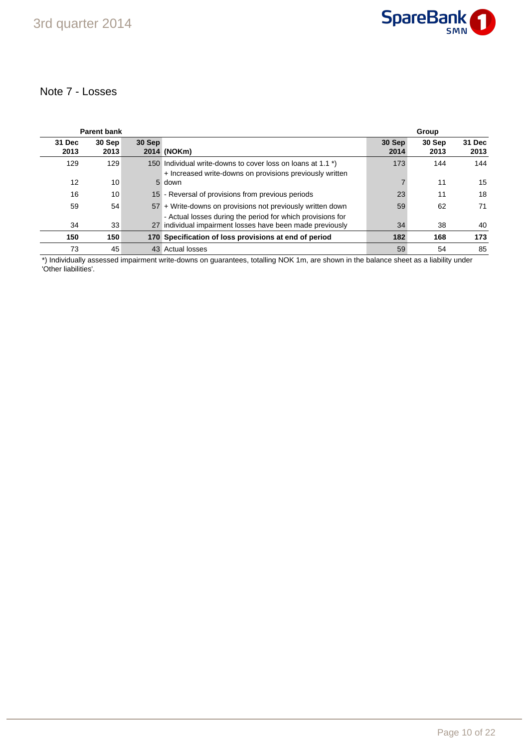

### Note 7 - Losses

|                | <b>Parent bank</b> |        |                                                                                                                         |                | Group          |                |
|----------------|--------------------|--------|-------------------------------------------------------------------------------------------------------------------------|----------------|----------------|----------------|
| 31 Dec<br>2013 | 30 Sep<br>2013     | 30 Sep | 2014 (NOKm)                                                                                                             | 30 Sep<br>2014 | 30 Sep<br>2013 | 31 Dec<br>2013 |
| 129            | 129                |        | 150 Individual write-downs to cover loss on loans at 1.1 *)<br>+ Increased write-downs on provisions previously written | 173            | 144            | 144            |
| 12             | 10                 |        | 5 down                                                                                                                  |                | 11             | 15             |
| 16             | 10                 |        | 15 - Reversal of provisions from previous periods                                                                       | 23             | 11             | 18             |
| 59             | 54                 |        | 57 + Write-downs on provisions not previously written down                                                              | 59             | 62             | 71             |
| 34             | 33                 |        | - Actual losses during the period for which provisions for<br>27 individual impairment losses have been made previously | 34             | 38             | 40             |
| 150            | 150                |        | 170 Specification of loss provisions at end of period                                                                   | 182            | 168            | 173            |
| 73             | 45                 |        | 43 Actual losses                                                                                                        | 59             | 54             | 85             |

\*) Individually assessed impairment write-downs on guarantees, totalling NOK 1m, are shown in the balance sheet as a liability under 'Other liabilities'.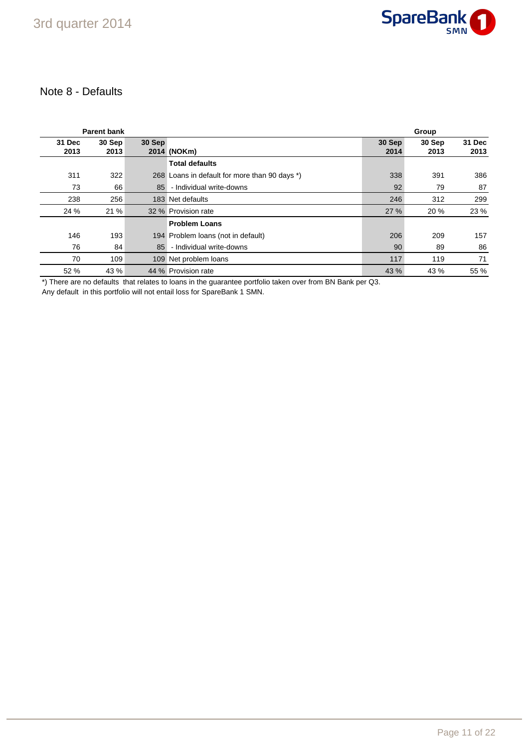### Note 8 - Defaults

|                | <b>Parent bank</b> |        |                                               |                | Group          |                |
|----------------|--------------------|--------|-----------------------------------------------|----------------|----------------|----------------|
| 31 Dec<br>2013 | 30 Sep<br>2013     | 30 Sep | 2014 (NOKm)                                   | 30 Sep<br>2014 | 30 Sep<br>2013 | 31 Dec<br>2013 |
|                |                    |        | <b>Total defaults</b>                         |                |                |                |
| 311            | 322                |        | 268 Loans in default for more than 90 days *) | 338            | 391            | 386            |
| 73             | 66                 | 85     | - Individual write-downs                      | 92             | 79             | 87             |
| 238            | 256                |        | 183 Net defaults                              | 246            | 312            | 299            |
| 24 %           | 21 %               |        | 32 % Provision rate                           | 27 %           | 20 %           | 23 %           |
|                |                    |        | <b>Problem Loans</b>                          |                |                |                |
| 146            | 193                |        | 194 Problem Ioans (not in default)            | 206            | 209            | 157            |
| 76             | 84                 | 85     | - Individual write-downs                      | 90             | 89             | 86             |
| 70             | 109                |        | 109 Net problem loans                         | 117            | 119            | 71             |
| 52 %           | 43 %               |        | 44 % Provision rate                           | 43 %           | 43 %           | 55 %           |

\*) There are no defaults that relates to loans in the guarantee portfolio taken over from BN Bank per Q3.

Any default in this portfolio will not entail loss for SpareBank 1 SMN.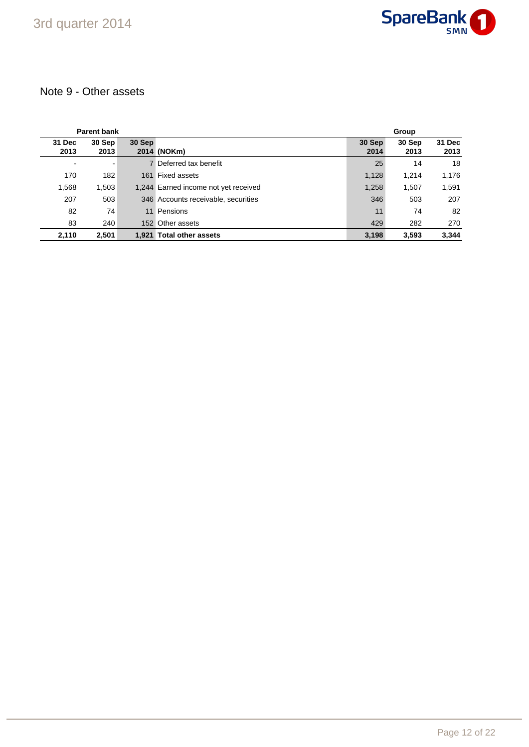

### Note 9 - Other assets

| <b>Parent bank</b> |                |        |                                      | Group          |                |                |
|--------------------|----------------|--------|--------------------------------------|----------------|----------------|----------------|
| 31 Dec<br>2013     | 30 Sep<br>2013 | 30 Sep | 2014 (NOKm)                          | 30 Sep<br>2014 | 30 Sep<br>2013 | 31 Dec<br>2013 |
| $\blacksquare$     |                |        | 7 Deferred tax benefit               | 25             | 14             | 18             |
| 170                | 182            | 161    | Fixed assets                         | 1,128          | 1,214          | 1,176          |
| 1,568              | 1,503          |        | 1,244 Earned income not yet received | 1,258          | 1,507          | 1,591          |
| 207                | 503            |        | 346 Accounts receivable, securities  | 346            | 503            | 207            |
| 82                 | 74             |        | 11 Pensions                          | 11             | 74             | 82             |
| 83                 | 240            |        | 152 Other assets                     | 429            | 282            | 270            |
| 2,110              | 2,501          | 1.921  | <b>Total other assets</b>            | 3,198          | 3,593          | 3,344          |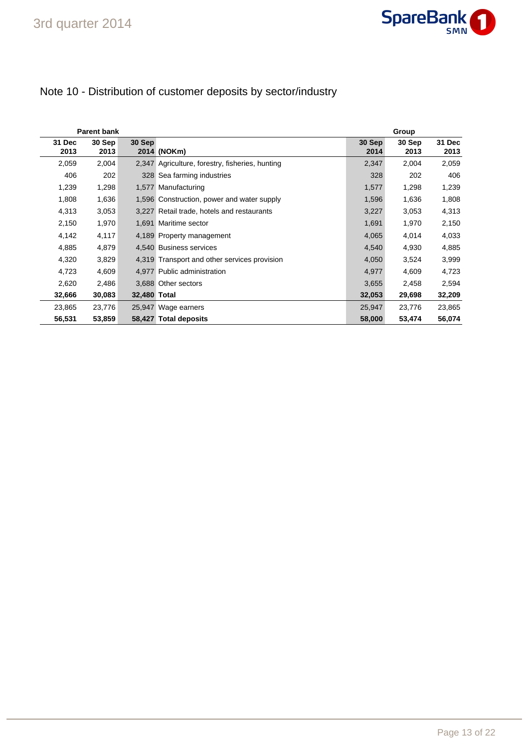

# Note 10 - Distribution of customer deposits by sector/industry

| <b>Parent bank</b> |                |              |                                                 |                | Group          |                |
|--------------------|----------------|--------------|-------------------------------------------------|----------------|----------------|----------------|
| 31 Dec<br>2013     | 30 Sep<br>2013 | 30 Sep       | 2014 (NOKm)                                     | 30 Sep<br>2014 | 30 Sep<br>2013 | 31 Dec<br>2013 |
| 2,059              | 2,004          |              | 2,347 Agriculture, forestry, fisheries, hunting | 2,347          | 2,004          | 2,059          |
| 406                | 202            |              | 328 Sea farming industries                      | 328            | 202            | 406            |
| 1,239              | 1,298          |              | 1,577 Manufacturing                             | 1,577          | 1,298          | 1,239          |
| 1,808              | 1,636          |              | 1,596 Construction, power and water supply      | 1,596          | 1,636          | 1,808          |
| 4,313              | 3,053          |              | 3,227 Retail trade, hotels and restaurants      | 3,227          | 3,053          | 4,313          |
| 2,150              | 1,970          |              | 1,691 Maritime sector                           | 1,691          | 1,970          | 2,150          |
| 4,142              | 4,117          |              | 4,189 Property management                       | 4,065          | 4,014          | 4,033          |
| 4,885              | 4,879          |              | 4.540 Business services                         | 4,540          | 4,930          | 4,885          |
| 4,320              | 3,829          |              | 4,319 Transport and other services provision    | 4,050          | 3,524          | 3,999          |
| 4,723              | 4,609          |              | 4.977 Public administration                     | 4,977          | 4,609          | 4,723          |
| 2,620              | 2,486          |              | 3.688 Other sectors                             | 3,655          | 2,458          | 2,594          |
| 32,666             | 30,083         | 32,480 Total |                                                 | 32,053         | 29,698         | 32,209         |
| 23,865             | 23,776         |              | 25,947 Wage earners                             | 25,947         | 23,776         | 23,865         |
| 56,531             | 53,859         |              | 58,427 Total deposits                           | 58,000         | 53,474         | 56,074         |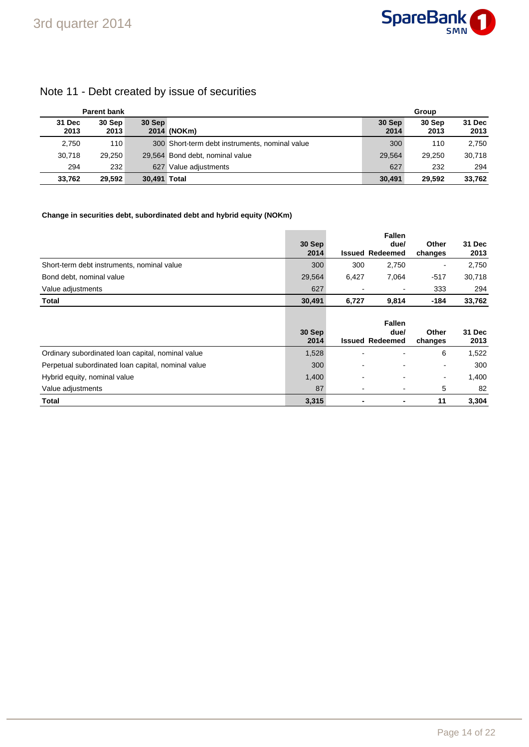

### Note 11 - Debt created by issue of securities

|                | <b>Parent bank</b> |              |                                                | Group          |                |                |
|----------------|--------------------|--------------|------------------------------------------------|----------------|----------------|----------------|
| 31 Dec<br>2013 | 30 Sep<br>2013     | 30 Sep       | 2014 (NOKm)                                    | 30 Sep<br>2014 | 30 Sep<br>2013 | 31 Dec<br>2013 |
| 2,750          | 110                |              | 300 Short-term debt instruments, nominal value | 300            | 110            | 2,750          |
| 30.718         | 29.250             |              | 29,564 Bond debt, nominal value                | 29.564         | 29.250         | 30.718         |
| 294            | 232                |              | 627 Value adiustments                          | 627            | 232            | 294            |
| 33.762         | 29.592             | 30,491 Total |                                                | 30.491         | 29.592         | 33,762         |

#### **Change in securities debt, subordinated debt and hybrid equity (NOKm)**

|                                                    | 30 Sep<br>2014 |                | <b>Fallen</b><br>due/<br><b>Issued Redeemed</b> | Other<br>changes | 31 Dec<br>2013 |
|----------------------------------------------------|----------------|----------------|-------------------------------------------------|------------------|----------------|
| Short-term debt instruments, nominal value         | 300            | 300            | 2,750                                           | -                | 2,750          |
| Bond debt, nominal value                           | 29,564         | 6,427          | 7,064                                           | $-517$           | 30,718         |
| Value adjustments                                  | 627            |                | $\blacksquare$                                  | 333              | 294            |
| Total                                              | 30,491         | 6,727          | 9,814                                           | $-184$           | 33,762         |
|                                                    | 30 Sep<br>2014 |                | <b>Fallen</b><br>due/<br><b>Issued Redeemed</b> | Other<br>changes | 31 Dec<br>2013 |
| Ordinary subordinated loan capital, nominal value  | 1,528          |                |                                                 | 6                | 1,522          |
| Perpetual subordinated loan capital, nominal value | 300            |                | $\overline{\phantom{0}}$                        | ۰                | 300            |
| Hybrid equity, nominal value                       | 1,400          | $\blacksquare$ |                                                 | $\blacksquare$   | 1,400          |
| Value adjustments                                  | 87             |                | $\overline{\phantom{0}}$                        | 5                | 82             |
| Total                                              | 3,315          |                | $\blacksquare$                                  | 11               | 3,304          |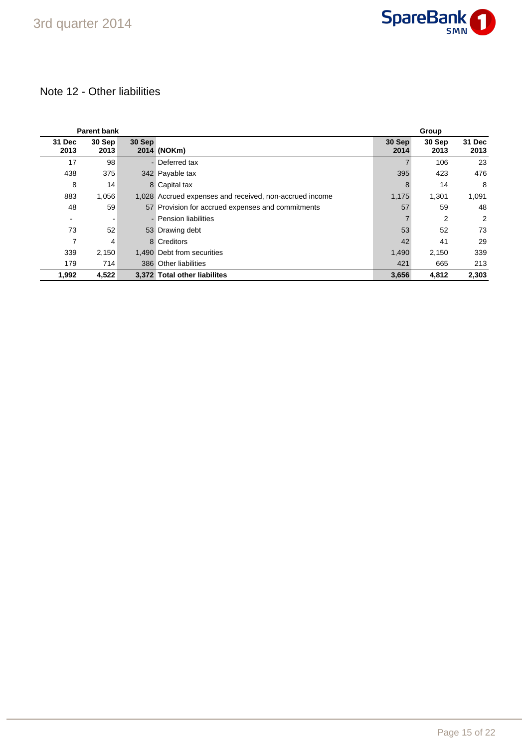

### Note 12 - Other liabilities

|                | <b>Parent bank</b> |        |                                                         |                | Group          |                |  |  |
|----------------|--------------------|--------|---------------------------------------------------------|----------------|----------------|----------------|--|--|
| 31 Dec<br>2013 | 30 Sep<br>2013     | 30 Sep | 2014 (NOKm)                                             | 30 Sep<br>2014 | 30 Sep<br>2013 | 31 Dec<br>2013 |  |  |
| 17             | 98                 |        | - Deferred tax                                          |                | 106            | 23             |  |  |
| 438            | 375                |        | 342 Payable tax                                         | 395            | 423            | 476            |  |  |
| 8              | 14                 |        | 8 Capital tax                                           | 8              | 14             | 8              |  |  |
| 883            | 1,056              |        | 1,028 Accrued expenses and received, non-accrued income | 1,175          | 1,301          | 1,091          |  |  |
| 48             | 59                 |        | 57 Provision for accrued expenses and commitments       | 57             | 59             | 48             |  |  |
|                |                    |        | - Pension liabilities                                   |                | 2              | $\overline{2}$ |  |  |
| 73             | 52                 |        | 53 Drawing debt                                         | 53             | 52             | 73             |  |  |
| 7              | 4                  |        | 8 Creditors                                             | 42             | 41             | 29             |  |  |
| 339            | 2,150              |        | 1.490 Debt from securities                              | 1,490          | 2,150          | 339            |  |  |
| 179            | 714                |        | 386 Other liabilities                                   | 421            | 665            | 213            |  |  |
| 1,992          | 4,522              |        | 3.372 Total other liabilites                            | 3,656          | 4,812          | 2,303          |  |  |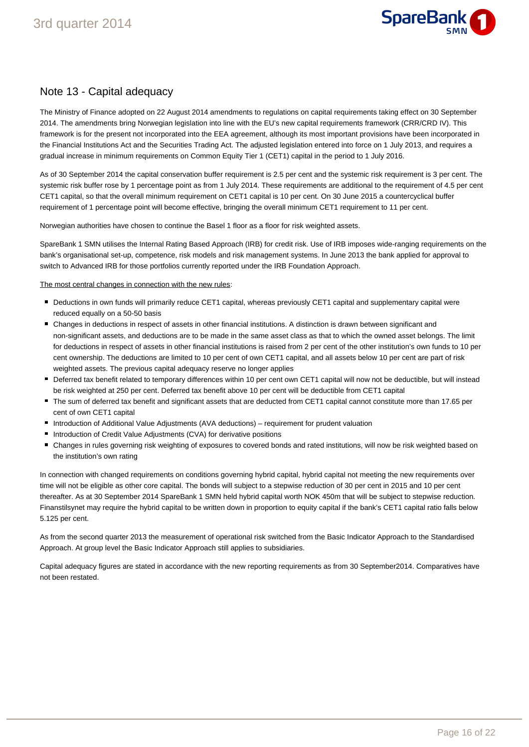

### Note 13 - Capital adequacy

The Ministry of Finance adopted on 22 August 2014 amendments to regulations on capital requirements taking effect on 30 September 2014. The amendments bring Norwegian legislation into line with the EU's new capital requirements framework (CRR/CRD IV). This framework is for the present not incorporated into the EEA agreement, although its most important provisions have been incorporated in the Financial Institutions Act and the Securities Trading Act. The adjusted legislation entered into force on 1 July 2013, and requires a gradual increase in minimum requirements on Common Equity Tier 1 (CET1) capital in the period to 1 July 2016.

As of 30 September 2014 the capital conservation buffer requirement is 2.5 per cent and the systemic risk requirement is 3 per cent. The systemic risk buffer rose by 1 percentage point as from 1 July 2014. These requirements are additional to the requirement of 4.5 per cent CET1 capital, so that the overall minimum requirement on CET1 capital is 10 per cent. On 30 June 2015 a countercyclical buffer requirement of 1 percentage point will become effective, bringing the overall minimum CET1 requirement to 11 per cent.

Norwegian authorities have chosen to continue the Basel 1 floor as a floor for risk weighted assets.

SpareBank 1 SMN utilises the Internal Rating Based Approach (IRB) for credit risk. Use of IRB imposes wide-ranging requirements on the bank's organisational set-up, competence, risk models and risk management systems. In June 2013 the bank applied for approval to switch to Advanced IRB for those portfolios currently reported under the IRB Foundation Approach.

The most central changes in connection with the new rules:

- Deductions in own funds will primarily reduce CET1 capital, whereas previously CET1 capital and supplementary capital were reduced equally on a 50-50 basis
- Changes in deductions in respect of assets in other financial institutions. A distinction is drawn between significant and non-significant assets, and deductions are to be made in the same asset class as that to which the owned asset belongs. The limit for deductions in respect of assets in other financial institutions is raised from 2 per cent of the other institution's own funds to 10 per cent ownership. The deductions are limited to 10 per cent of own CET1 capital, and all assets below 10 per cent are part of risk weighted assets. The previous capital adequacy reserve no longer applies
- Deferred tax benefit related to temporary differences within 10 per cent own CET1 capital will now not be deductible, but will instead be risk weighted at 250 per cent. Deferred tax benefit above 10 per cent will be deductible from CET1 capital
- The sum of deferred tax benefit and significant assets that are deducted from CET1 capital cannot constitute more than 17.65 per cent of own CET1 capital
- Introduction of Additional Value Adjustments (AVA deductions) requirement for prudent valuation
- Introduction of Credit Value Adjustments (CVA) for derivative positions
- Changes in rules governing risk weighting of exposures to covered bonds and rated institutions, will now be risk weighted based on the institution's own rating

In connection with changed requirements on conditions governing hybrid capital, hybrid capital not meeting the new requirements over time will not be eligible as other core capital. The bonds will subject to a stepwise reduction of 30 per cent in 2015 and 10 per cent thereafter. As at 30 September 2014 SpareBank 1 SMN held hybrid capital worth NOK 450m that will be subject to stepwise reduction. Finanstilsynet may require the hybrid capital to be written down in proportion to equity capital if the bank's CET1 capital ratio falls below 5.125 per cent.

As from the second quarter 2013 the measurement of operational risk switched from the Basic Indicator Approach to the Standardised Approach. At group level the Basic Indicator Approach still applies to subsidiaries.

Capital adequacy figures are stated in accordance with the new reporting requirements as from 30 September2014. Comparatives have not been restated.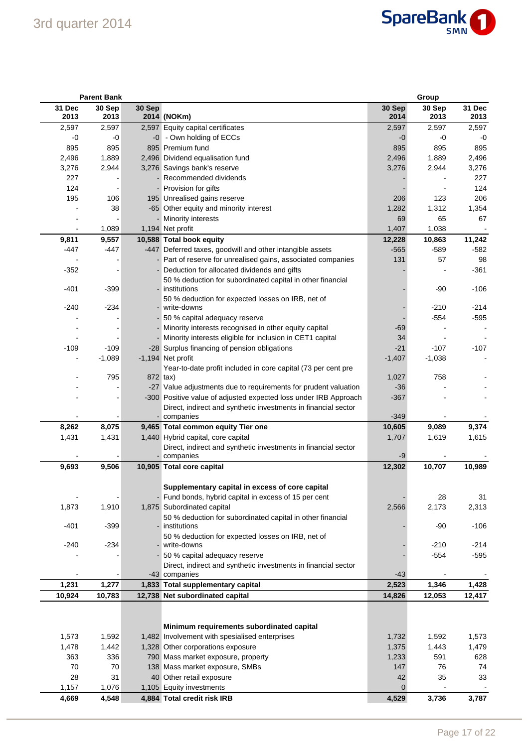# 3rd quarter 2014



|                | <b>Parent Bank</b><br>Group |          |                                                                                 |                |                |                |
|----------------|-----------------------------|----------|---------------------------------------------------------------------------------|----------------|----------------|----------------|
| 31 Dec<br>2013 | 30 Sep<br>2013              | 30 Sep   | 2014 (NOKm)                                                                     | 30 Sep<br>2014 | 30 Sep<br>2013 | 31 Dec<br>2013 |
| 2,597          | 2,597                       |          | 2,597 Equity capital certificates                                               | 2,597          | 2,597          | 2,597          |
| -0             | -0                          |          | -0 - Own holding of ECCs                                                        | $-0$           | -0             | -0             |
| 895            | 895                         |          | 895 Premium fund                                                                | 895            | 895            | 895            |
| 2,496          | 1,889                       |          | 2,496 Dividend equalisation fund                                                | 2,496          | 1,889          | 2,496          |
| 3,276          | 2,944                       |          | 3,276 Savings bank's reserve                                                    | 3,276          | 2,944          | 3,276          |
| 227            |                             |          | Recommended dividends                                                           |                |                | 227            |
| 124            |                             |          | - Provision for gifts                                                           |                |                | 124            |
| 195            | 106                         |          | 195 Unrealised gains reserve                                                    | 206            | 123            | 206            |
|                | 38                          |          | -65 Other equity and minority interest                                          | 1,282          | 1,312          | 1,354          |
|                |                             |          | - Minority interests                                                            | 69             | 65             | 67             |
|                | 1,089                       |          | 1,194 Net profit                                                                | 1,407          | 1,038          | $\blacksquare$ |
| 9,811          | 9,557                       |          | 10,588 Total book equity                                                        | 12,228         | 10,863         | 11,242         |
| -447           | $-447$                      |          | -447 Deferred taxes, goodwill and other intangible assets                       | $-565$         | $-589$         | $-582$         |
|                |                             |          | - Part of reserve for unrealised gains, associated companies                    | 131            | 57             | 98             |
| $-352$         |                             |          | Deduction for allocated dividends and gifts                                     |                |                | $-361$         |
| $-401$         | $-399$                      |          | 50 % deduction for subordinated capital in other financial<br>- institutions    |                | $-90$          | $-106$         |
|                |                             |          | 50 % deduction for expected losses on IRB, net of                               |                |                |                |
| $-240$         | $-234$                      |          | - write-downs                                                                   |                | $-210$         | $-214$         |
|                |                             |          | 50 % capital adequacy reserve                                                   |                | $-554$         | $-595$         |
|                |                             |          | Minority interests recognised in other equity capital                           | -69            |                |                |
|                |                             |          | Minority interests eligible for inclusion in CET1 capital                       | 34             |                |                |
| $-109$         | $-109$                      |          | -28 Surplus financing of pension obligations                                    | $-21$          | $-107$         | $-107$         |
|                | $-1,089$                    |          | -1,194 Net profit                                                               | $-1,407$       | $-1,038$       | $\blacksquare$ |
|                |                             |          | Year-to-date profit included in core capital (73 per cent pre                   |                |                |                |
|                | 795                         | 872 tax) |                                                                                 | 1,027          | 758            |                |
|                |                             |          | -27 Value adjustments due to requirements for prudent valuation                 | $-36$          |                |                |
|                |                             |          | -300 Positive value of adjusted expected loss under IRB Approach                | $-367$         |                |                |
|                |                             |          | Direct, indirect and synthetic investments in financial sector                  |                |                |                |
|                |                             |          | - companies                                                                     | $-349$         |                |                |
| 8,262          | 8,075                       |          | 9,465 Total common equity Tier one                                              | 10,605         | 9,089          | 9,374          |
| 1,431          | 1,431                       |          | 1,440 Hybrid capital, core capital                                              | 1,707          | 1,619          | 1,615          |
|                |                             |          | Direct, indirect and synthetic investments in financial sector                  |                |                |                |
|                |                             |          | companies                                                                       | -9             |                |                |
| 9,693          | 9,506                       |          | 10,905 Total core capital                                                       | 12,302         | 10,707         | 10,989         |
|                |                             |          | Supplementary capital in excess of core capital                                 |                |                |                |
|                |                             |          | - Fund bonds, hybrid capital in excess of 15 per cent                           |                | 28             | 31             |
| 1,873          | 1,910                       |          | 1,875 Subordinated capital                                                      | 2,566          | 2,173          | 2,313          |
|                |                             |          | 50 % deduction for subordinated capital in other financial                      |                |                |                |
| $-401$         | $-399$                      |          | - institutions                                                                  |                | $-90$          | $-106$         |
|                |                             |          | 50 % deduction for expected losses on IRB, net of                               |                |                |                |
| $-240$         | $-234$                      |          | - write-downs                                                                   |                | $-210$         | $-214$         |
|                |                             |          | 50 % capital adequacy reserve                                                   |                | $-554$         | $-595$         |
| $\blacksquare$ | $\overline{\phantom{a}}$    |          | Direct, indirect and synthetic investments in financial sector<br>-43 companies | $-43$          |                |                |
| 1,231          | 1,277                       |          | 1,833 Total supplementary capital                                               | 2,523          | 1,346          | 1,428          |
| 10,924         | 10,783                      |          | 12,738 Net subordinated capital                                                 | 14,826         | 12,053         | 12,417         |
|                |                             |          | Minimum requirements subordinated capital                                       |                |                |                |
| 1,573          | 1,592                       |          | 1,482 Involvement with spesialised enterprises                                  | 1,732          | 1,592          | 1,573          |
| 1,478          | 1,442                       |          | 1,328 Other corporations exposure                                               | 1,375          | 1,443          | 1,479          |
| 363            | 336                         |          | 790 Mass market exposure, property                                              | 1,233          | 591            | 628            |
| 70             | 70                          |          | 138 Mass market exposure, SMBs                                                  | 147            | 76             | 74             |
| 28             | 31                          |          | 40 Other retail exposure                                                        | 42             | 35             | 33             |
| 1,157          | 1,076                       |          | 1,105 Equity investments                                                        | $\mathbf 0$    |                |                |
| 4,669          | 4,548                       |          | 4,884 Total credit risk IRB                                                     | 4,529          | 3,736          | 3,787          |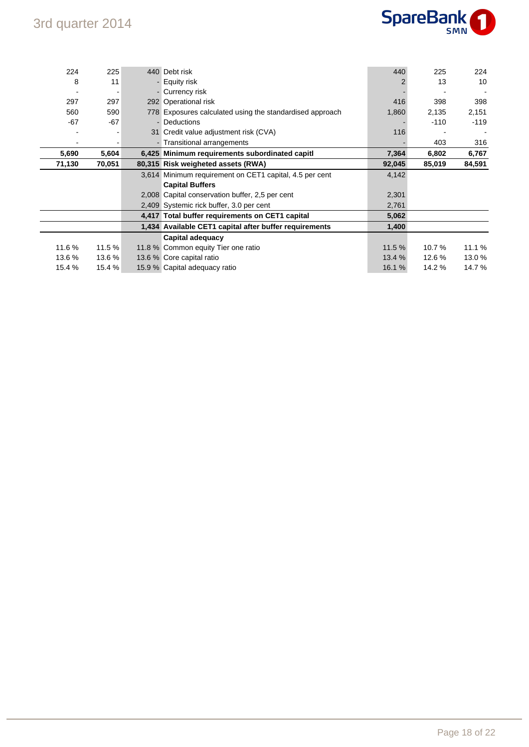

| 224    | 225    | 440 Debt risk                                            | 440    | 225    | 224    |
|--------|--------|----------------------------------------------------------|--------|--------|--------|
| 8      | 11     | - Equity risk                                            |        | 13     | 10     |
|        |        | - Currency risk                                          |        |        |        |
| 297    | 297    | 292 Operational risk                                     | 416    | 398    | 398    |
| 560    | 590    | 778 Exposures calculated using the standardised approach | 1,860  | 2,135  | 2,151  |
| $-67$  | $-67$  | - Deductions                                             |        | $-110$ | $-119$ |
|        |        | 31 Credit value adjustment risk (CVA)                    | 116    |        |        |
|        |        | - Transitional arrangements                              |        | 403    | 316    |
| 5,690  | 5,604  | 6,425 Minimum requirements subordinated capitl           | 7,364  | 6,802  | 6,767  |
| 71,130 | 70,051 | 80,315 Risk weigheted assets (RWA)                       | 92,045 | 85,019 | 84,591 |
|        |        | 3,614 Minimum requirement on CET1 capital, 4.5 per cent  | 4,142  |        |        |
|        |        | <b>Capital Buffers</b>                                   |        |        |        |
|        |        | 2,008 Capital conservation buffer, 2,5 per cent          | 2,301  |        |        |
|        |        | 2,409 Systemic rick buffer, 3.0 per cent                 | 2,761  |        |        |
|        |        | 4,417 Total buffer requirements on CET1 capital          | 5,062  |        |        |
|        |        | 1,434 Available CET1 capital after buffer requirements   | 1,400  |        |        |
|        |        |                                                          |        |        |        |
|        |        | Capital adequacy                                         |        |        |        |
| 11.6%  | 11.5 % | 11.8 % Common equity Tier one ratio                      | 11.5 % | 10.7%  | 11.1 % |
| 13.6%  | 13.6 % | 13.6 % Core capital ratio                                | 13.4 % | 12.6 % | 13.0%  |
| 15.4 % | 15.4 % | 15.9 % Capital adequacy ratio                            | 16.1 % | 14.2 % | 14.7%  |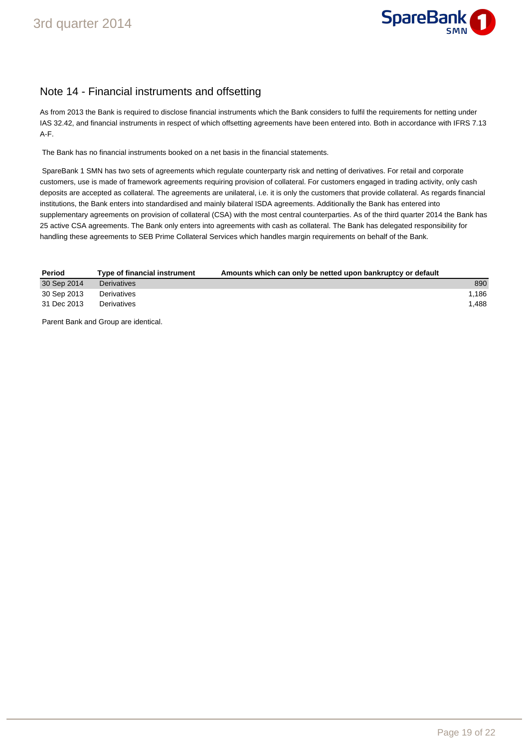

### Note 14 - Financial instruments and offsetting

As from 2013 the Bank is required to disclose financial instruments which the Bank considers to fulfil the requirements for netting under IAS 32.42, and financial instruments in respect of which offsetting agreements have been entered into. Both in accordance with IFRS 7.13 A-F.

The Bank has no financial instruments booked on a net basis in the financial statements.

 SpareBank 1 SMN has two sets of agreements which regulate counterparty risk and netting of derivatives. For retail and corporate customers, use is made of framework agreements requiring provision of collateral. For customers engaged in trading activity, only cash deposits are accepted as collateral. The agreements are unilateral, i.e. it is only the customers that provide collateral. As regards financial institutions, the Bank enters into standardised and mainly bilateral ISDA agreements. Additionally the Bank has entered into supplementary agreements on provision of collateral (CSA) with the most central counterparties. As of the third quarter 2014 the Bank has 25 active CSA agreements. The Bank only enters into agreements with cash as collateral. The Bank has delegated responsibility for handling these agreements to SEB Prime Collateral Services which handles margin requirements on behalf of the Bank.

| Period      | Type of financial instrument | Amounts which can only be netted upon bankruptcy or default |       |
|-------------|------------------------------|-------------------------------------------------------------|-------|
| 30 Sep 2014 | <b>Derivatives</b>           |                                                             | 890   |
| 30 Sep 2013 | Derivatives                  |                                                             | 1.186 |
| 31 Dec 2013 | Derivatives                  |                                                             | 1.488 |

Parent Bank and Group are identical.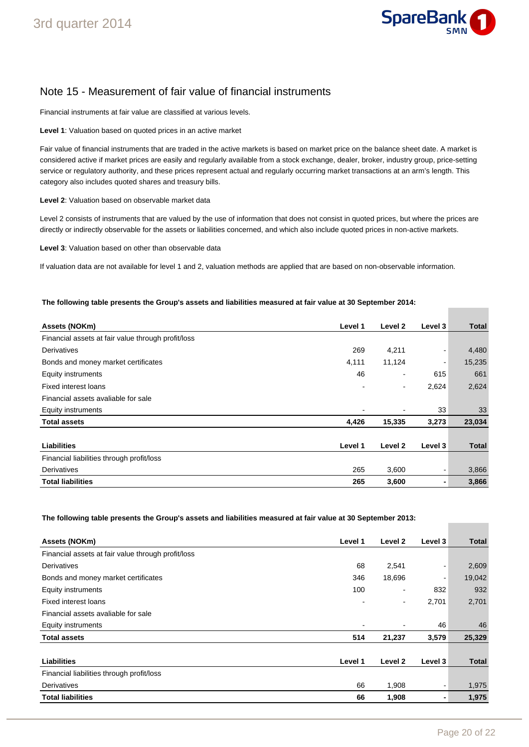

### Note 15 - Measurement of fair value of financial instruments

Financial instruments at fair value are classified at various levels.

**Level 1**: Valuation based on quoted prices in an active market

Fair value of financial instruments that are traded in the active markets is based on market price on the balance sheet date. A market is considered active if market prices are easily and regularly available from a stock exchange, dealer, broker, industry group, price-setting service or regulatory authority, and these prices represent actual and regularly occurring market transactions at an arm's length. This category also includes quoted shares and treasury bills.

**Level 2**: Valuation based on observable market data

Level 2 consists of instruments that are valued by the use of information that does not consist in quoted prices, but where the prices are directly or indirectly observable for the assets or liabilities concerned, and which also include quoted prices in non-active markets.

**Level 3**: Valuation based on other than observable data

If valuation data are not available for level 1 and 2, valuation methods are applied that are based on non-observable information.

#### **The following table presents the Group's assets and liabilities measured at fair value at 30 September 2014:**

| Assets (NOKm)                                      | Level 1 | Level 2        | Level 3 | <b>Total</b> |
|----------------------------------------------------|---------|----------------|---------|--------------|
| Financial assets at fair value through profit/loss |         |                |         |              |
| Derivatives                                        | 269     | 4,211          |         | 4,480        |
| Bonds and money market certificates                | 4,111   | 11,124         |         | 15,235       |
| Equity instruments                                 | 46      | ۰              | 615     | 661          |
| <b>Fixed interest loans</b>                        |         | $\overline{a}$ | 2,624   | 2,624        |
| Financial assets avaliable for sale                |         |                |         |              |
| Equity instruments                                 |         |                | 33      | 33           |
| <b>Total assets</b>                                | 4,426   | 15,335         | 3,273   | 23,034       |
|                                                    |         |                |         |              |
| <b>Liabilities</b>                                 | Level 1 | Level 2        | Level 3 | <b>Total</b> |
| Financial liabilities through profit/loss          |         |                |         |              |
| Derivatives                                        | 265     | 3,600          |         | 3,866        |
| <b>Total liabilities</b>                           | 265     | 3,600          |         | 3,866        |

**The following table presents the Group's assets and liabilities measured at fair value at 30 September 2013:** 

| Assets (NOKm)                                      | Level 1                  | Level 2                  | Level 3        | <b>Total</b> |
|----------------------------------------------------|--------------------------|--------------------------|----------------|--------------|
| Financial assets at fair value through profit/loss |                          |                          |                |              |
| Derivatives                                        | 68                       | 2,541                    | $\blacksquare$ | 2,609        |
| Bonds and money market certificates                | 346                      | 18,696                   | ٠              | 19,042       |
| Equity instruments                                 | 100                      | $\overline{\phantom{a}}$ | 832            | 932          |
| <b>Fixed interest loans</b>                        |                          | $\blacksquare$           | 2,701          | 2,701        |
| Financial assets avaliable for sale                |                          |                          |                |              |
| Equity instruments                                 | $\overline{\phantom{0}}$ |                          | 46             | 46           |
| <b>Total assets</b>                                | 514                      | 21,237                   | 3,579          | 25,329       |
|                                                    |                          |                          |                |              |
| <b>Liabilities</b>                                 | Level 1                  | Level 2                  | Level 3        | <b>Total</b> |
| Financial liabilities through profit/loss          |                          |                          |                |              |
| Derivatives                                        | 66                       | 1,908                    | ۰              | 1,975        |
| <b>Total liabilities</b>                           | 66                       | 1,908                    | $\blacksquare$ | 1,975        |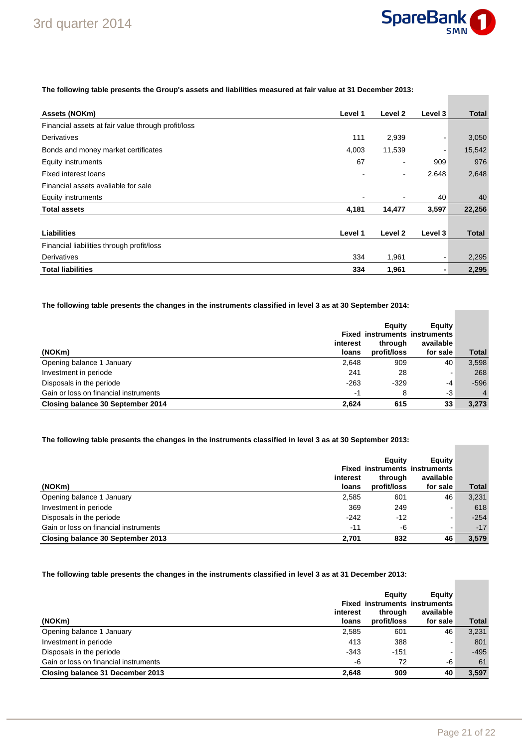

#### **The following table presents the Group's assets and liabilities measured at fair value at 31 December 2013:**

| Assets (NOKm)                                      | Level 1 | Level 2                  | Level 3 | <b>Total</b> |
|----------------------------------------------------|---------|--------------------------|---------|--------------|
| Financial assets at fair value through profit/loss |         |                          |         |              |
| Derivatives                                        | 111     | 2,939                    |         | 3,050        |
| Bonds and money market certificates                | 4,003   | 11,539                   | -       | 15,542       |
| Equity instruments                                 | 67      |                          | 909     | 976          |
| Fixed interest loans                               |         | $\overline{\phantom{0}}$ | 2,648   | 2,648        |
| Financial assets avaliable for sale                |         |                          |         |              |
| Equity instruments                                 |         |                          | 40      | 40           |
| <b>Total assets</b>                                | 4,181   | 14,477                   | 3,597   | 22,256       |
|                                                    |         |                          |         |              |
| <b>Liabilities</b>                                 | Level 1 | Level 2                  | Level 3 | Total        |
| Financial liabilities through profit/loss          |         |                          |         |              |
| Derivatives                                        | 334     | 1,961                    |         | 2,295        |
| <b>Total liabilities</b>                           | 334     | 1,961                    |         | 2,295        |

#### **The following table presents the changes in the instruments classified in level 3 as at 30 September 2014:**

| (NOKm)                                | interest<br>loans | Equity<br>through<br>profit/loss | Equity<br><b>Fixed instruments instruments</b><br>available<br>for sale | <b>Total</b>   |
|---------------------------------------|-------------------|----------------------------------|-------------------------------------------------------------------------|----------------|
| Opening balance 1 January             | 2,648             | 909                              | 40                                                                      | 3,598          |
| Investment in periode                 | 241               | 28                               | ۰                                                                       | 268            |
| Disposals in the periode              | $-263$            | $-329$                           | $-4$                                                                    | $-596$         |
| Gain or loss on financial instruments | -1                | 8                                | -3                                                                      | $\overline{4}$ |
| Closing balance 30 September 2014     | 2.624             | 615                              | 33                                                                      | 3,273          |

#### **The following table presents the changes in the instruments classified in level 3 as at 30 September 2013:**

| (NOKm)                                | interest<br>loans | Eauity<br><b>Fixed instruments instruments</b><br>through<br>profit/loss | Equity<br>available<br>for sale | <b>Total</b> |
|---------------------------------------|-------------------|--------------------------------------------------------------------------|---------------------------------|--------------|
| Opening balance 1 January             | 2,585             | 601                                                                      | 46                              | 3,231        |
| Investment in periode                 | 369               | 249                                                                      | ۰                               | 618          |
| Disposals in the periode              | $-242$            | $-12$                                                                    | $\blacksquare$                  | $-254$       |
| Gain or loss on financial instruments | $-11$             | -6                                                                       | ۰                               | $-17$        |
| Closing balance 30 September 2013     | 2.701             | 832                                                                      | 46                              | 3.579        |

#### **The following table presents the changes in the instruments classified in level 3 as at 31 December 2013:**

| (NOKm)                                | interest<br>loans | Equity<br><b>Fixed instruments instruments</b><br>through<br>profit/loss | <b>Equity</b><br>available<br>for sale | <b>Total</b> |
|---------------------------------------|-------------------|--------------------------------------------------------------------------|----------------------------------------|--------------|
| Opening balance 1 January             | 2,585             | 601                                                                      | 46                                     | 3,231        |
| Investment in periode                 | 413               | 388                                                                      | $\overline{\phantom{a}}$               | 801          |
| Disposals in the periode              | $-343$            | $-151$                                                                   |                                        | $-495$       |
| Gain or loss on financial instruments | -6                | 72                                                                       | -6                                     | 61           |
| Closing balance 31 December 2013      | 2,648             | 909                                                                      | 40                                     | 3.597        |